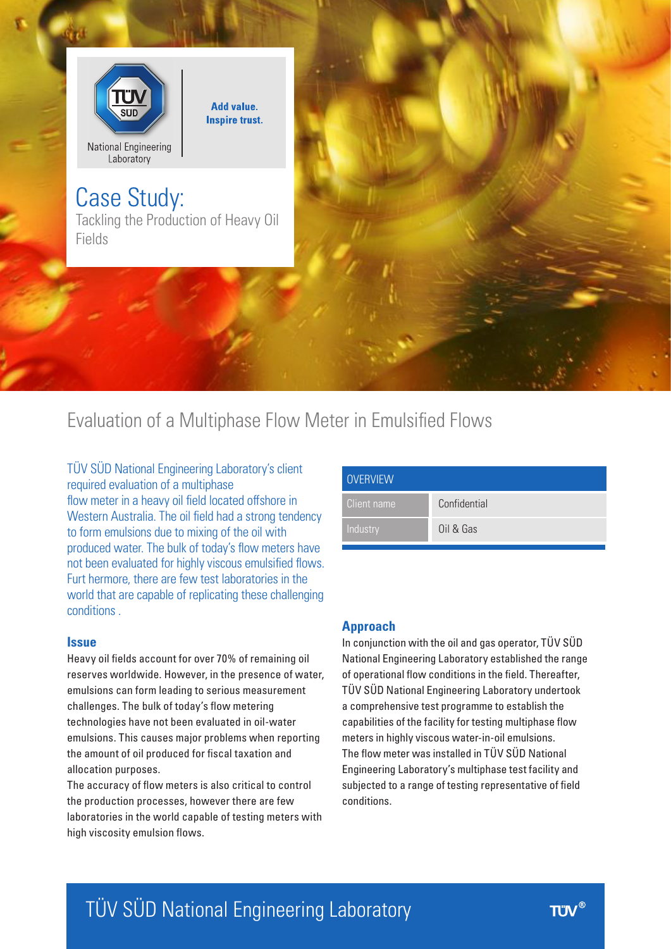

**Add value. Inspire trust.** 

# Case Study:

Tackling the Production of Heavy Oil Fields

# Evaluation of a Multiphase Flow Meter in Emulsified Flows

# TÜV SÜD National Engineering Laboratory's client required evaluation of a multiphase flow meter in a heavy oil field located offshore in Western Australia. The oil field had a strong tendency

to form emulsions due to mixing of the oil with produced water. The bulk of today's flow meters have not been evaluated for highly viscous emulsified flows. Furt hermore, there are few test laboratories in the world that are capable of replicating these challenging conditions .

#### **Issue**

Heavy oil fields account for over 70% of remaining oil reserves worldwide. However, in the presence of water, emulsions can form leading to serious measurement challenges. The bulk of today's flow metering technologies have not been evaluated in oil-water emulsions. This causes major problems when reporting the amount of oil produced for fiscal taxation and allocation purposes.

The accuracy of flow meters is also critical to control the production processes, however there are few laboratories in the world capable of testing meters with high viscosity emulsion flows.

| OVERVIEW    |              |
|-------------|--------------|
| Client name | Confidential |
| Industry    | Oil & Gas    |

### **Approach**

In conjunction with the oil and gas operator, TÜV SÜD National Engineering Laboratory established the range of operational flow conditions in the field. Thereafter, TÜV SÜD National Engineering Laboratory undertook a comprehensive test programme to establish the capabilities of the facility for testing multiphase flow meters in highly viscous water-in-oil emulsions. The flow meter was installed in TÜV SÜD National Engineering Laboratory's multiphase test facility and subjected to a range of testing representative of field conditions.